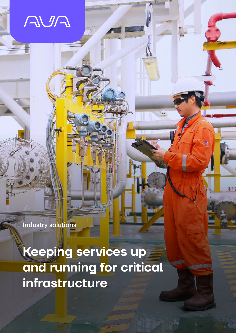NSA

Industry solutions

**Keeping services up and running for critical infrastructure**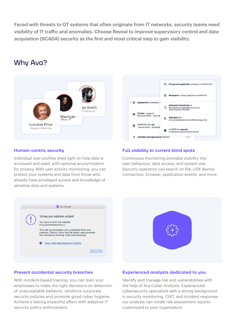Faced with threats to OT systems that often originate from IT networks, security teams need visibility of IT traffic and anomalies. Choose Reveal to improve supervisory control and data acquisition (SCADA) security as the first and most critical step to gain visibility.

# Why Ava?





# **Human-centric security**

Individual user profiles shed light on how data is accessed and used, with optional anonymization for privacy. With user activity monitoring, you can protect your systems and data from those who already have privileged access and knowledge of sensitive data and systems.

## **Full visibility to current blind spots**

Continuous monitoring provides visibility into user behaviour, data access, and system use. Security operators can search on file, USB device, connection, browser, application events, and more.





## **Prevent accidental security breaches**

With incident-based training, you can train your employees to make the right decisions on detection of unacceptable behavior, reinforce corporate security policies and promote good cyber hygiene. Achieve a lasting impactful effect with adaptive IT security policy enforcement.

### **Experienced analysts dedicated to you**

Identify and manage risk and vulnerabilities with the help of Ava Cyber Analysts. Experienced cybersecurity specialists with a strong background in security monitoring, CIRT, and incident response; our analysts can create risk assessment reports customized to your organization.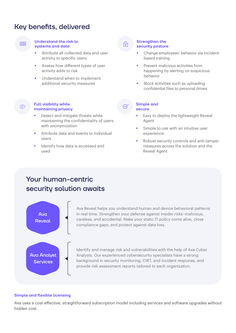# Key benefits, delivered

### **Understand the risk to systems and data**

- Attribute all collected data and user activity to specific users
- Assess how different types of user activity adds to risk
- Understand when to implement additional security measures

# **Full visibility while maintaining privacy**

- Detect and mitigate threats while maintaining the confidentiality of users with anonymization
- Attribute data and events to individual users
- Identify how data is accessed and used

#### **Strengthen the security posture**

- Change employees' behavior via incidentbased training
- Prevent malicious activities from happening by alerting on suspicious behavior
- Block activities such as uploading confidential files to personal drives

#### **Simple and secure**

- Easy to deploy the lightweight Reveal Agent
- Simple to use with an intuitive user experience
- Robust security controls and anti-tamper measures across the solution and the Reveal Agent

# Your human-centric security solution awaits



Ava Reveal helps you understand human and device behavioral patterns in real time. Strengthen your defense against insider risks–malicious, careless, and accidental. Make your static IT policy come alive, close compliance gaps, and protect against data loss.

Identify and manage risk and vulnerabilities with the help of Ava Cyber Analysts. Our experienced cybersecurity specialists have a strong background in security monitoring, CIRT, and incident response, and provide risk assessment reports tailored to each organization.

# **Simple and flexible licensing**

Ava uses a cost-effective, straightforward subscription model including services and software upgrades without hidden cost.